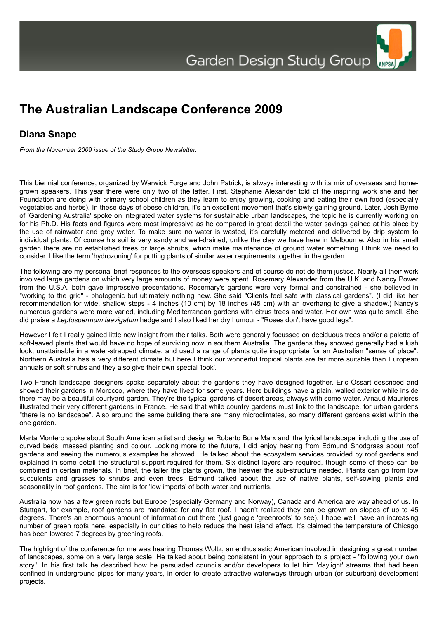## **The Australian Landscape Conference 2009**

## **Diana Snape**

*From the November 2009 issue of the Study Group Newsletter.*

This biennial conference, organized by Warwick Forge and John Patrick, is always interesting with its mix of overseas and homegrown speakers. This year there were only two of the latter. First, Stephanie Alexander told of the inspiring work she and her Foundation are doing with primary school children as they learn to enjoy growing, cooking and eating their own food (especially vegetables and herbs). In these days of obese children, it's an excellent movement that's slowly gaining ground. Later, Josh Byrne of 'Gardening Australia' spoke on integrated water systems for sustainable urban landscapes, the topic he is currently working on for his Ph.D. His facts and figures were most impressive as he compared in great detail the water savings gained at his place by the use of rainwater and grey water. To make sure no water is wasted, it's carefully metered and delivered by drip system to individual plants. Of course his soil is very sandy and well-drained, unlike the clay we have here in Melbourne. Also in his small garden there are no established trees or large shrubs, which make maintenance of ground water something I think we need to consider. I like the term 'hydrozoning' for putting plants of similar water requirements together in the garden.

The following are my personal brief responses to the overseas speakers and of course do not do them justice. Nearly all their work involved large gardens on which very large amounts of money were spent. Rosemary Alexander from the U.K. and Nancy Power from the U.S.A. both gave impressive presentations. Rosemary's gardens were very formal and constrained - she believed in "working to the grid" - photogenic but ultimately nothing new. She said "Clients feel safe with classical gardens". (I did like her recommendation for wide, shallow steps - 4 inches (10 cm) by 18 inches (45 cm) with an overhang to give a shadow.) Nancy's numerous gardens were more varied, including Mediterranean gardens with citrus trees and water. Her own was quite small. She did praise a *Leptospermum laevigatum* hedge and I also liked her dry humour - "Roses don't have good legs".

However I felt I really gained little new insight from their talks. Both were generally focussed on deciduous trees and/or a palette of soft-leaved plants that would have no hope of surviving now in southern Australia. The gardens they showed generally had a lush look, unattainable in a water-strapped climate, and used a range of plants quite inappropriate for an Australian "sense of place". Northern Australia has a very different climate but here I think our wonderful tropical plants are far more suitable than European annuals or soft shrubs and they also give their own special 'look'.

Two French landscape designers spoke separately about the gardens they have designed together. Eric Ossart described and showed their gardens in Morocco, where they have lived for some years. Here buildings have a plain, walled exterior while inside there may be a beautiful courtyard garden. They're the typical gardens of desert areas, always with some water. Arnaud Maurieres illustrated their very different gardens in France. He said that while country gardens must link to the landscape, for urban gardens "there is no landscape". Also around the same building there are many microclimates, so many different gardens exist within the one garden.

Marta Montero spoke about South American artist and designer Roberto Burle Marx and 'the lyrical landscape' including the use of curved beds, massed planting and colour. Looking more to the future, I did enjoy hearing from Edmund Snodgrass about roof gardens and seeing the numerous examples he showed. He talked about the ecosystem services provided by roof gardens and explained in some detail the structural support required for them. Six distinct layers are required, though some of these can be combined in certain materials. In brief, the taller the plants grown, the heavier the sub-structure needed. Plants can go from low succulents and grasses to shrubs and even trees. Edmund talked about the use of native plants, self-sowing plants and seasonality in roof gardens. The aim is for 'low imports' of both water and nutrients.

Australia now has a few green roofs but Europe (especially Germany and Norway), Canada and America are way ahead of us. In Stuttgart, for example, roof gardens are mandated for any flat roof. I hadn't realized they can be grown on slopes of up to 45 degrees. There's an enormous amount of information out there (just google 'greenroofs' to see). I hope we'll have an increasing number of green roofs here, especially in our cities to help reduce the heat island effect. It's claimed the temperature of Chicago has been lowered 7 degrees by greening roofs.

The highlight of the conference for me was hearing Thomas Woltz, an enthusiastic American involved in designing a great number of landscapes, some on a very large scale. He talked about being consistent in your approach to a project - "following your own story". In his first talk he described how he persuaded councils and/or developers to let him 'daylight' streams that had been confined in underground pipes for many years, in order to create attractive waterways through urban (or suburban) development projects.